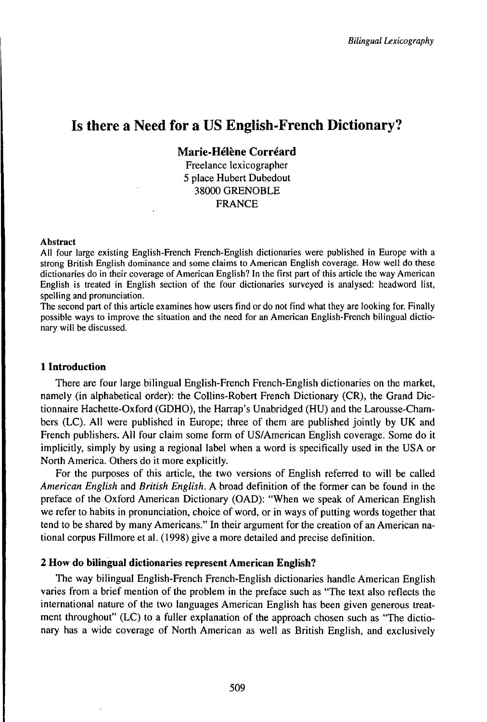# Is there a Need for a US English-French Dictionary?

**Marie-Hélène Corréard**

Freelance lexicographer 5 place Hubert Dubedout 38000 GRENOBLE FRANCE

#### Abstract

All four large existing English-French French-English dictionaries were published in Europe with a strong British English dominance and some claims to American English coverage. How well do these dictionaries do in their coverage of American English? In the first part of this article the way American English is treated in English section of the four dictionaries surveyed is analysed: headword list, spelling and pronunciation.

The second part of this article examines how users find or do not find what they are looking for. Finally possible ways to improve the situation and the need for an American English-French bilingual dictionary will be discussed.

## **1 Introduction**

There are four large bilingual English-French French-English dictionaries on the market, namely (in alphabetical order): the Collins-Robert French Dictionary (CR), the Grand Dictionnaire Hachette-Oxford (GDHO), the Harrap's Unabridged (HU) and the Larousse-Chambers (LC). All were published in Europe; three of them are published jointly by UK and French publishers. All four claim some form of US/American English coverage. Some do it implicitly, simply by using a regional label when a word is specifically used in the USA or North America. Others do it more explicitly.

For the purposes of this article, the two versions of English referred to will be called *American English* and *British English.* A broad definition of the former can be found in the preface of the Oxford American Dictionary (OAD): "When we speak of American English we refer to habits in pronunciation, choice of word, or in ways of putting words together that tend to be shared by many Americans." In their argument for the creation of an American national corpus Fillmore et al. (1998) give a more detailed and precise definition.

# **2 How do bilingual dictionaries represent American English?**

The way bilingual English-French French-English dictionaries handle American English varies from a brief mention of the problem in the preface such as "The text also reflects the international nature of the two languages American English has been given generous treatment throughout" (LC) to a fuller explanation of the approach chosen such as "The dictionary has a wide coverage of North American as well as British English, and exclusively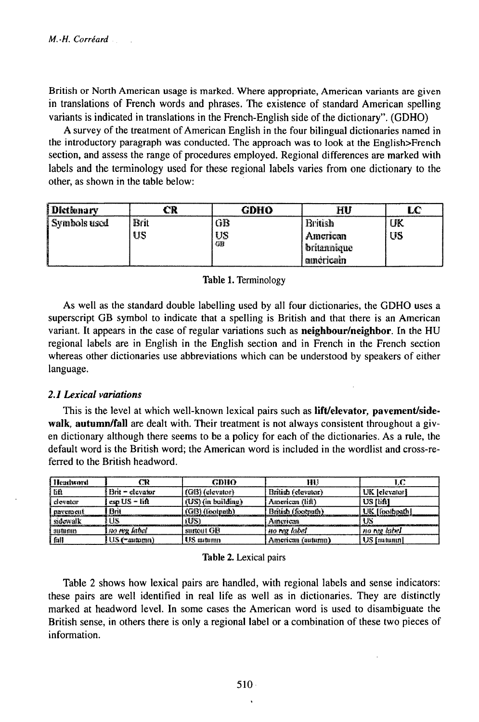British or North American usage is marked. Where appropriate, American variants are given in translations of French words and phrases. The existence of standard American spelling variants is indicated in translations in the French-English side of the dictionary". (GDHO)

A survey of the treatment of American English in the four bilingual dictionaries named in the introductory paragraph was conducted. The approach was to look at the English>French section, and assess the range of procedures employed. Regional differences are marked with labels and the terminology used for these regional labels varies from one dictionary to the other, as shown in the table below:

| Dletkmary      |      | GDHO                    | HU                 | LC |
|----------------|------|-------------------------|--------------------|----|
| ] Symbols used | Brit | GB                      | British            | JK |
|                | US   | US                      | American           | US |
|                |      | $\overline{\mathbb{C}}$ | <b>britannique</b> |    |
|                |      |                         | americam           |    |

### Table 1. Terminology

As well as the standard double labelling used by all four dictionaries, the GDHO uses a superscript GB symbol to indicate that a spelling is British and that there is an American variant. It appears in the case of regular variations such as neighbour/neighbor. In the HU regional labels are in English in the English section and in French in the French section whereas other dictionaries use abbreviations which can be understood by speakers of either language.

## 2.1 Lexical variations

This is the level at which well-known lexical pairs such as lift/elevator, pavement/sidewalk, autumn/fall are dealt with. Their treatment is not always consistent throughout a given dictionary although there seems to be a policy for each of the dictionaries. As a rule, the default word is the British word; the American word is included in the wordlist and cross-referred to the British headword.

| Headword   | m                  | CDHO                 | HU)                |                |
|------------|--------------------|----------------------|--------------------|----------------|
| l BA       | . Brit – elevator  | $(G(3))$ (elevator)  | British (clevator) | (UK Jelevatori |
| i elevator | ' esa US = liA     | $(US)$ (in building) | American (lift)    | US Rift1       |
| i navement | Brit               | (GB) (footnath)      | British (footnuth) | UK [foolbpath] |
| sidewalk   | US                 | rus)                 | American           |                |
| i autumn   | ino roy kabal      | surgent GB           | ' no reg label'.   | no ree label   |
| fall       | $US$ ( $m$ antomn) | US mitumn            | American (autumn)  | , US [nutunin] |

#### Table 2. Lexical pairs

Table 2 shows how lexical pairs are handled, with regional labels and sense indicators: these pairs are well identified in real life as well as in dictionaries. They are distinctly marked at headword level. In some cases the American word is used to disambiguate the British sense, in others there is only a regional label or a combination of these two pieces of information.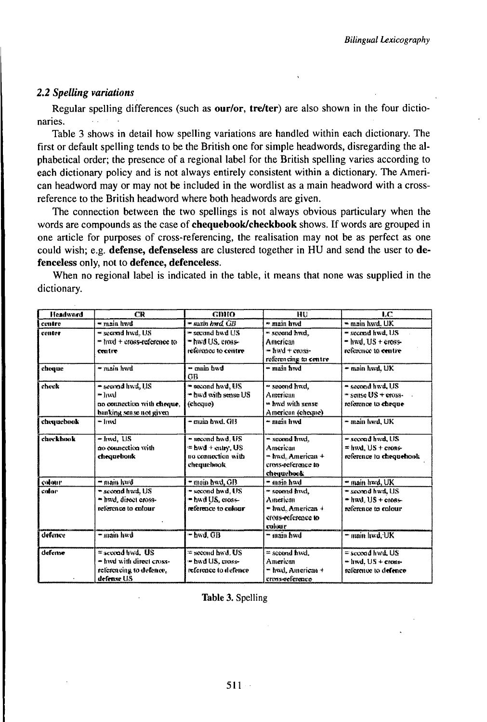# 2.2 Spelling variations

Regular spelling differences (such as our/or, tre/ter) are also shown in the four dictionaries.

Table 3 shows in detail how spelling variations are handled within each dictionary. The first or default spelling tends to be the British one for simple headwords, disregarding the alphabetical order; the presence of a regional label for the British spelling varies according to each dictionary policy and is not always entirely consistent within a dictionary. The American headword may or may not be included in the wordlist as a main headword with a crossreference to the British headword where both headwords are given.

The connection between the two spellings is not always obvious particulary when the words are compounds as the case of **chequebook/checkbook** shows. If words are grouped in one article for purposes of cross-referencing, the realisation may not be as perfect as one could wish; e.g. defense, defenseless are clustered together in HU and send the user to defenceless only, not to defence, defenceless.

| <b>Headward</b> | CR                                                                                        | GDHO                                                                       | нu                                                                                 | LС                                                                            |
|-----------------|-------------------------------------------------------------------------------------------|----------------------------------------------------------------------------|------------------------------------------------------------------------------------|-------------------------------------------------------------------------------|
| centre          | = main hwd                                                                                | - main hwd. GB                                                             | main hvd                                                                           | - main hwd. UK                                                                |
| center          | = second hyd, US<br>= hyd + cross-reference to<br>centre                                  | <sup>38</sup> second bwd US<br>= hwd US, eross-<br>reference to contre     | * second hud.<br>American<br>- had + care.<br>referencing to centre                | " second hwd. US<br>$-$ hugl, US + $\cos\frac{\pi}{2}$<br>reference to centre |
| choque          | w main hwd                                                                                | twd minn -<br>GB                                                           | ™ main hwd                                                                         | = main hwd. UK                                                                |
| check           | = second hwd, US<br>* hwl<br>no connection with cheque,<br>banking sense not given        | - second hwd, US<br>" hwd with sense US<br>(cheque)                        | " second hud.<br>American<br>** had with sense<br>American (cheque)                | " second hwd, US<br>" seitse US + eross-<br>relemnce to cheque                |
| cheanchaok      | $-1$ md                                                                                   | - muin bwd. GB                                                             | ≁ main hwd                                                                         | – main hwd. UK                                                                |
| checkbook       | $-$ lmd, US<br>no connective with<br>chequebonk                                           | - second hwd. US<br>= hwd + catry, US.<br>na comection with<br>chequelmok. | - scond hwd.<br>Anterican<br>- hwd. American +<br>eross-reference in<br>chequebook | = second hud, US<br>$=$ hvd. US + cross-<br>reference to chequehook           |
| colour          | – main hwd                                                                                | * main bwd. GB                                                             | bad nien *                                                                         | " main hwd. UK                                                                |
| calar           | " second hwd, US<br>= hyd, direct cross-<br>reference to colour.                          | " second hwd, US<br>= bwd U.S., cross=<br>reference to culuar              | " sconnd find,<br>American<br>= hwd. American +<br>eros-reference to<br>enlaur     | * second hwd, US<br>* had, US + cross-<br>reference to colour                 |
| defence         | bwd ainm-                                                                                 | $-$ bwd. $GB$                                                              | hwd minn **                                                                        | - main hwd. UK                                                                |
| defense         | $=$ second hwd. US<br>- livel with direct cross-<br>relerencing to defence,<br>defense US | = second bwd. US<br>∞ hwd US, cross∘<br>reference to defence               | = second hwd.<br>American<br>= hwd. American +<br>crosseeference                   | $=$ second hwd. US<br>= lind, US + cross-<br>reference to defence             |

When no regional label is indicated in the table, it means that none was supplied in the dictionary.

Table 3. Spelling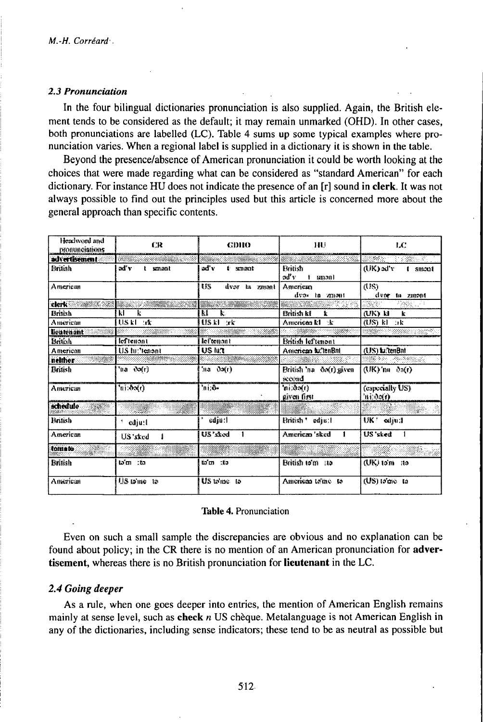#### 2.3 Pronunciation

In the four bilingual dictionaries pronunciation is also supplied. Again, the British element tends to be considered as the default; it may remain unmarked (OHD). In other cases, both pronunciations are labelled (LC). Table 4 sums up some typical examples where pronunciation varies. When a regional label is supplied in a dictionary it is shown in the table.

Beyond the presence/absence of American pronunciation it could be worth looking at the choices that were made regarding what can be considered as "standard American" for each dictionary. For instance HU does not indicate the presence of an [r] sound in clerk. It was not always possible to find out the principles used but this article is concerned more about the general approach than specific contents.

| Headword med<br>pronunciations | CR              | <b>GDHO</b>                          | 1111                               | LС                           |
|--------------------------------|-----------------|--------------------------------------|------------------------------------|------------------------------|
| advertisement                  |                 |                                      |                                    | STAGE.                       |
| Bruish                         | aď v<br>t smant | aď v<br>t smæat                      | <b>British</b><br>รเป็น<br>t smanl | (UK) xi'v<br>i smani         |
| American                       |                 | <b>ISS</b><br>dvor ta zmant          | American<br>dvas la amont          | (18)<br>dvor ta zmont        |
| clerk <sup>22</sup>            |                 |                                      |                                    | $\mathbb{C}(\mathbb{R}^n)$   |
| British                        | k<br>kI         | KI<br>k.                             | British kf<br>$\mathbf{r}$         | (UK) 11<br>k                 |
| American                       | US kl ar        | USKI rk                              | American kl k                      | $(BS)$ kl $B$ k              |
| licutenant                     |                 |                                      |                                    |                              |
| British                        | leftenont       | leftenant                            | British Id'tunont                  |                              |
| American                       | US tu:"tenant   | US lua                               | American fullenBin                 | (US) tu:tenBnt               |
| nelther                        |                 |                                      |                                    | ಯಾರ್ಥನನ್ನು ಸಂಸ್ಥೆಗಳು         |
| Dritish                        | 'üä ∛o≸r)       | 'sia ða{r)                           | British 'na & (r) given<br>seemd   | $(MK)'$ na (bo $(r)$         |
| American                       | hi:0x(r)        | $\overline{\mathfrak{m}}$ , $\delta$ | ຳni;ຽລ(r)<br>given first           | (especially US)<br>'ni:do(1) |
| schedule                       |                 |                                      |                                    |                              |
| British                        | $^+$ cdiu:1     | ediu:1                               | British * edju:l                   | UK <sup>*</sup> edjud        |
| American                       | US 'sked        | US'sked                              | American 'sked                     | US'sked                      |
| tomato                         |                 |                                      |                                    |                              |
| <b>British</b>                 | ໄລ້ເກ : ໄດ      | tam :to                              | British to'm no                    | $QK$ ) to $m$ - ito          |
| American                       | US to me to     | US talme to                          | American trime to                  | (US) trane ta                |

#### **Table 4. Pronunciation**

Even on such a small sample the discrepancies are obvious and no explanation can be found about policy; in the CR there is no mention of an American pronunciation for advertisement, whereas there is no British pronunciation for lieutenant in the LC.

## 2.4 Going deeper

As a rule, when one goes deeper into entries, the mention of American English remains mainly at sense level, such as check  $n$  US chèque. Metalanguage is not American English in any of the dictionaries, including sense indicators; these tend to be as neutral as possible but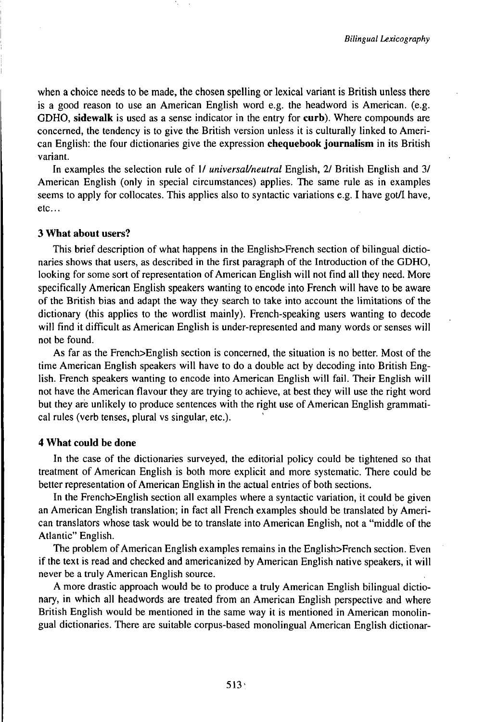when a choice needs to be made, the chosen spelling or lexical variant is British unless there is a good reason to use an American English word e.g. the headword is American, (e.g. GDHO, **sidewalk** is used as a sense indicator in the entry for **curb).** Where compounds are concerned, the tendency is to give the British version unless it is culturally linked to American English: the four dictionaries give the expression **chequebook journalism** in its British variant.

In examples the selection rule of 1/ *universaUneutral* English, 2/ British English and 3/ American English (only in special circumstances) applies. The same rule as in examples seems to apply for collocates. This applies also to syntactic variations e.g. I have got/I have, etc...

## **3 What about users?**

This brief description of what happens in the English>French section of bilingual dictionaries shows that users, as described in the first paragraph of the Introduction of the GDHO, looking for some sort of representation of American English will not find all they need. More specifically American English speakers wanting to encode into French will have to be aware of the British bias and adapt the way they search to take into account the limitations of the dictionary (this applies to the wordlist mainly). French-speaking users wanting to decode will find it difficult as American English is under-represented and many words or senses will not be found.

As far as the French>English section is concerned, the situation is no better. Most of the time American English speakers will have to do a double act by decoding into British English. French speakers wanting to encode into American English will fail. Their English will not have the American flavour they are trying to achieve, at best they will use the right word but they are unlikely to produce sentences with the right use of American English grammatical rules (verb tenses, plural vs singular, etc.).

## **4 What could be done**

**In** the case of the dictionaries surveyed, the editorial policy could be tightened so that treatment of American English is both more explicit and more systematic. There could be better representation of American English in the actual entries of both sections.

In the French>English section all examples where a syntactic variation, it could be given an American English translation; in fact all French examples should be translated by American translators whose task would be to translate into American English, not a "middle of the Atlantic" English.

The problem of American English examples remains in the English>French section. Even if the text is read and checked and americanized by American English native speakers, it will never be a truly American English source.

A more drastic approach would be to produce a truly American English bilingual dictionary, in which all headwords are treated from an American English perspective and where British English would be mentioned in the same way it is mentioned in American monolingual dictionaries. There are suitable corpus-based monolingual American English dictionar